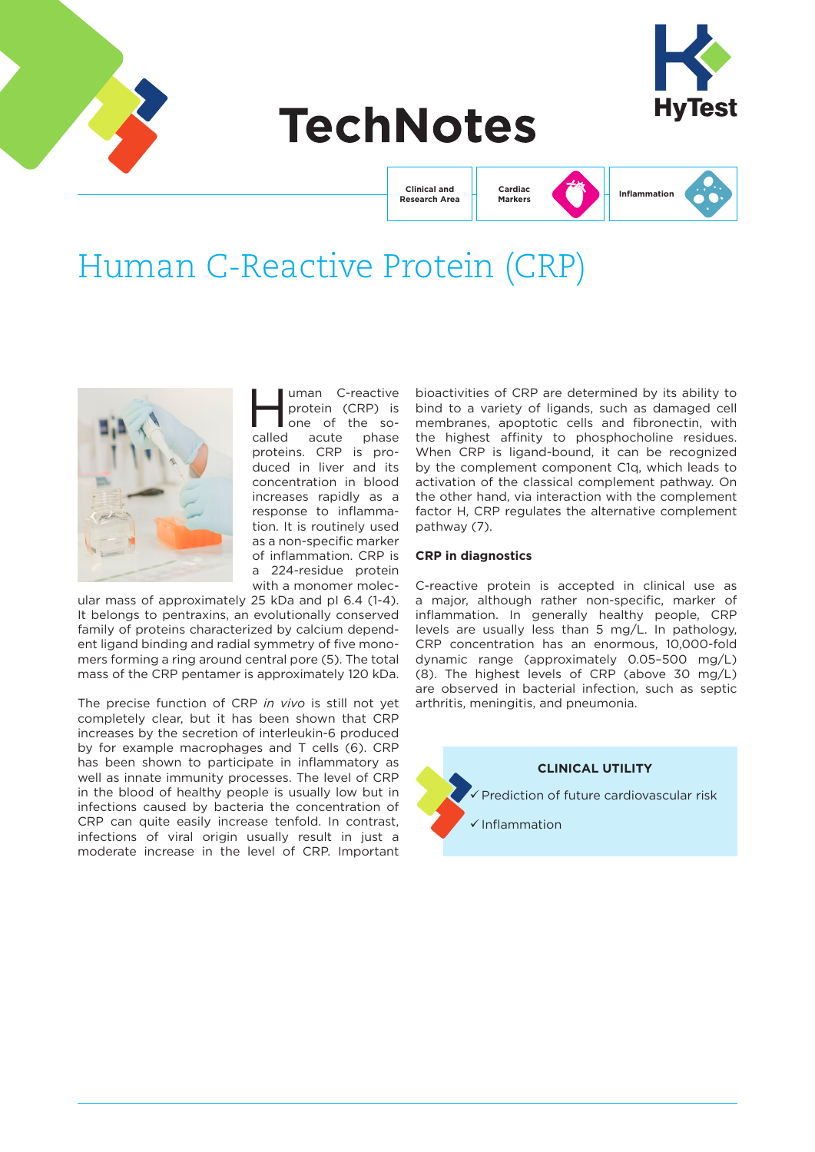

# **TechNotes**



**Clinical and Research Area** **Markers**



## Human C-Reactive Protein (CRP)



wman C-reactive<br>protein (CRP) is<br>one of the soprotein (CRP) is one of the socalled acute phase proteins. CRP is produced in liver and its concentration in blood increases rapidly as a response to inflammation. It is routinely used as a non-specific marker of inflammation. CRP is a 224-residue protein with a monomer molec-

ular mass of approximately 25 kDa and pI 6.4 (1-4). It belongs to pentraxins, an evolutionally conserved family of proteins characterized by calcium dependent ligand binding and radial symmetry of five monomers forming a ring around central pore (5). The total mass of the CRP pentamer is approximately 120 kDa.

The precise function of CRP *in vivo* is still not yet completely clear, but it has been shown that CRP increases by the secretion of interleukin-6 produced by for example macrophages and T cells (6). CRP has been shown to participate in inflammatory as well as innate immunity processes. The level of CRP in the blood of healthy people is usually low but in infections caused by bacteria the concentration of CRP can quite easily increase tenfold. In contrast, infections of viral origin usually result in just a moderate increase in the level of CRP. Important bioactivities of CRP are determined by its ability to bind to a variety of ligands, such as damaged cell membranes, apoptotic cells and fibronectin, with the highest affinity to phosphocholine residues. When CRP is ligand-bound, it can be recognized by the complement component C1q, which leads to activation of the classical complement pathway. On the other hand, via interaction with the complement factor H, CRP regulates the alternative complement pathway (7).

## **CRP in diagnostics**

C-reactive protein is accepted in clinical use as a major, although rather non-specific, marker of inflammation. In generally healthy people, CRP levels are usually less than 5 mg/L. In pathology, CRP concentration has an enormous, 10,000-fold dynamic range (approximately 0.05–500 mg/L) (8). The highest levels of CRP (above 30 mg/L) are observed in bacterial infection, such as septic arthritis, meningitis, and pneumonia.

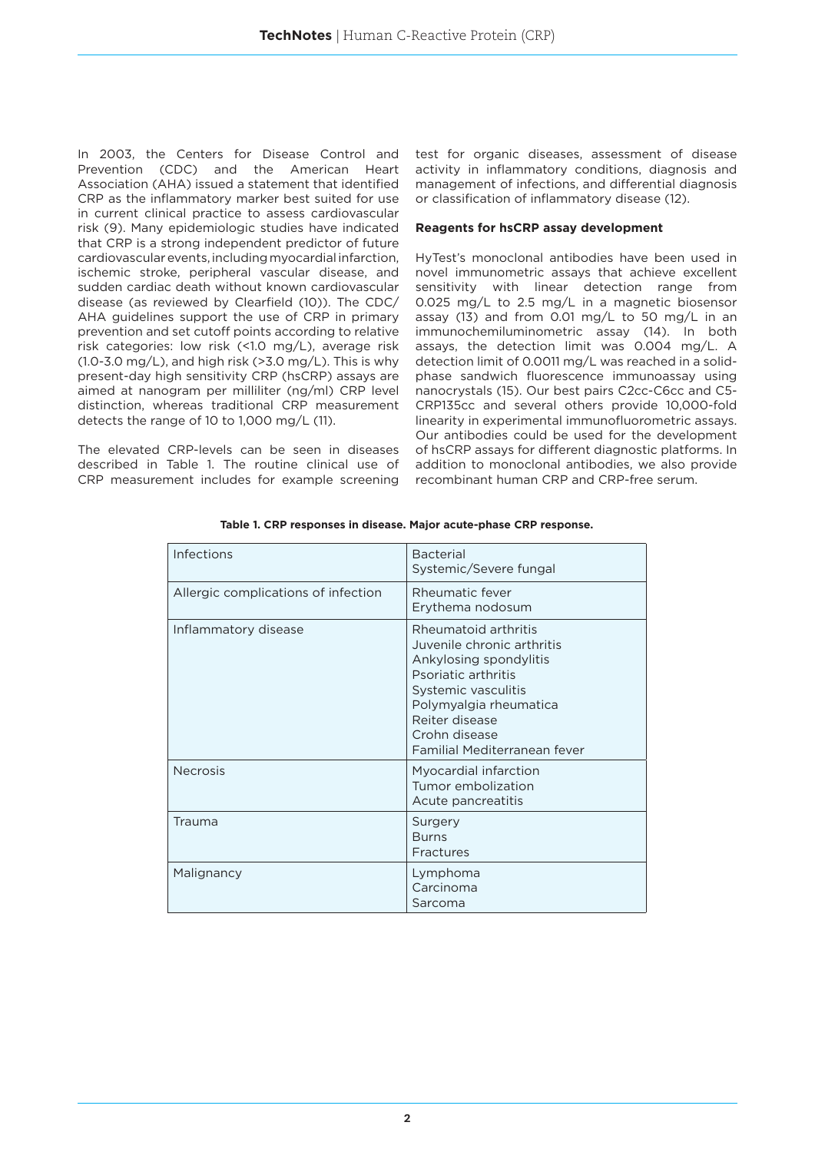In 2003, the Centers for Disease Control and Prevention (CDC) and the American Heart Association (AHA) issued a statement that identified CRP as the inflammatory marker best suited for use in current clinical practice to assess cardiovascular risk (9). Many epidemiologic studies have indicated that CRP is a strong independent predictor of future cardiovascular events, including myocardial infarction, ischemic stroke, peripheral vascular disease, and sudden cardiac death without known cardiovascular disease (as reviewed by Clearfield (10)). The CDC/ AHA guidelines support the use of CRP in primary prevention and set cutoff points according to relative risk categories: low risk (<1.0 mg/L), average risk  $(1.0-3.0 \text{ mg/L})$ , and high risk  $(>3.0 \text{ mg/L})$ . This is why present-day high sensitivity CRP (hsCRP) assays are aimed at nanogram per milliliter (ng/ml) CRP level distinction, whereas traditional CRP measurement detects the range of 10 to 1,000 mg/L (11).

The elevated CRP-levels can be seen in diseases described in Table 1. The routine clinical use of CRP measurement includes for example screening test for organic diseases, assessment of disease activity in inflammatory conditions, diagnosis and management of infections, and differential diagnosis or classification of inflammatory disease (12).

## **Reagents for hsCRP assay development**

HyTest's monoclonal antibodies have been used in novel immunometric assays that achieve excellent sensitivity with linear detection range from 0.025 mg/L to 2.5 mg/L in a magnetic biosensor assay (13) and from 0.01 mg/L to 50 mg/L in an immunochemiluminometric assay (14). In both assays, the detection limit was 0.004 mg/L. A detection limit of 0.0011 mg/L was reached in a solidphase sandwich fluorescence immunoassay using nanocrystals (15). Our best pairs C2cc-C6cc and C5- CRP135cc and several others provide 10,000-fold linearity in experimental immunofluorometric assays. Our antibodies could be used for the development of hsCRP assays for different diagnostic platforms. In addition to monoclonal antibodies, we also provide recombinant human CRP and CRP-free serum.

| Infections                          | <b>Bacterial</b><br>Systemic/Severe fungal                                                                                                                                                                              |
|-------------------------------------|-------------------------------------------------------------------------------------------------------------------------------------------------------------------------------------------------------------------------|
| Allergic complications of infection | Rheumatic fever<br>Erythema nodosum                                                                                                                                                                                     |
| Inflammatory disease                | Rheumatoid arthritis<br>Juvenile chronic arthritis<br>Ankylosing spondylitis<br>Psoriatic arthritis<br>Systemic vasculitis<br>Polymyalgia rheumatica<br>Reiter disease<br>Crohn disease<br>Familial Mediterranean fever |
| <b>Necrosis</b>                     | Myocardial infarction<br>Tumor embolization<br>Acute pancreatitis                                                                                                                                                       |
| Trauma                              | Surgery<br><b>Burns</b><br>Fractures                                                                                                                                                                                    |
| Malignancy                          | Lymphoma<br>Carcinoma<br>Sarcoma                                                                                                                                                                                        |

**Table 1. CRP responses in disease. Major acute-phase CRP response.**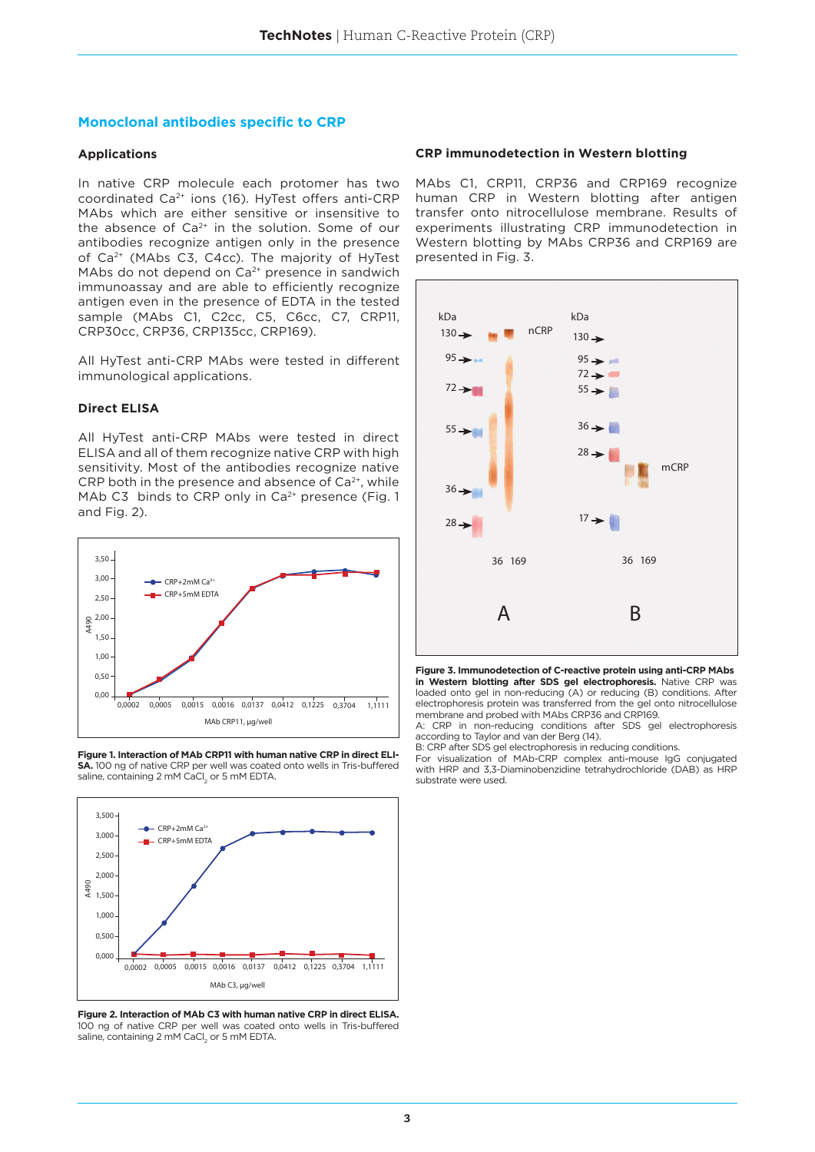## **Monoclonal antibodies specific to CRP**

## **Applications**

In native CRP molecule each protomer has two coordinated Ca<sup>2+</sup> ions (16). HyTest offers anti-CRP MAbs which are either sensitive or insensitive to the absence of  $Ca^{2+}$  in the solution. Some of our antibodies recognize antigen only in the presence of Ca<sup>2+</sup> (MAbs C3, C4cc). The majority of HyTest MAbs do not depend on  $Ca<sup>2+</sup>$  presence in sandwich immunoassay and are able to efficiently recognize antigen even in the presence of EDTA in the tested sample (MAbs C1, C2cc, C5, C6cc, C7, CRP11, CRP30cc, CRP36, CRP135cc, CRP169).

All HyTest anti-CRP MAbs were tested in different immunological applications.

## **Direct ELISA**

All HyTest anti-CRP MAbs were tested in direct ELISA and all of them recognize native CRP with high sensitivity. Most of the antibodies recognize native CRP both in the presence and absence of  $Ca<sup>2+</sup>$ , while MAb C3 binds to CRP only in Ca<sup>2+</sup> presence (Fig. 1 and Fig. 2).



**Figure 1. Interaction of MAb CRP11 with human native CRP in direct ELI-SA.** 100 ng of native CRP per well was coated onto wells in Tris-buffered saline, containing 2 mM CaCl $_2$  or 5 mM EDTA.



**Figure 2. Interaction of MAb C3 with human native CRP in direct ELISA.** 100 ng of native CRP per well was coated onto wells in Tris-buffered saline, containing 2 mM CaCl $_2$  or 5 mM EDTA.

## **CRP immunodetection in Western blotting**

MAbs C1, CRP11, CRP36 and CRP169 recognize human CRP in Western blotting after antigen transfer onto nitrocellulose membrane. Results of experiments illustrating CRP immunodetection in Western blotting by MAbs CRP36 and CRP169 are presented in Fig. 3.



**Figure 3. Immunodetection of C-reactive protein using anti-CRP MAbs in Western blotting after SDS gel electrophoresis.** Native CRP was loaded onto gel in non-reducing (A) or reducing (B) conditions. After electrophoresis protein was transferred from the gel onto nitrocellulose membrane and probed with MAbs CRP36 and CRP169.

A: CRP in non-reducing conditions after SDS gel electrophoresis according to Taylor and van der Berg (14).

B: CRP after SDS gel electrophoresis in reducing conditions.

For visualization of MAb-CRP complex anti-mouse IgG conjugated with HRP and 3,3-Diaminobenzidine tetrahydrochloride (DAB) as HRP substrate were used.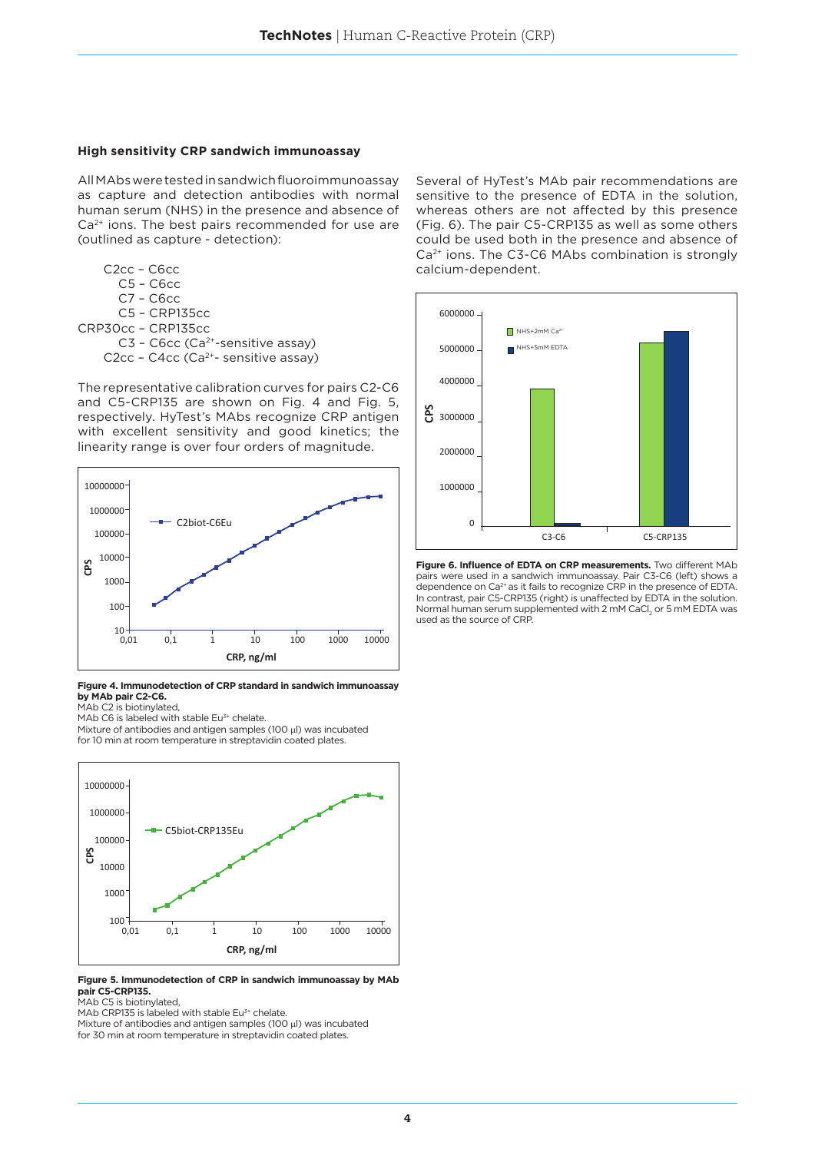### **High sensitivity CRP sandwich immunoassay**

All MAbs were tested in sandwich fluoroimmunoassay as capture and detection antibodies with normal human serum (NHS) in the presence and absence of Ca<sup>2+</sup> ions. The best pairs recommended for use are (outlined as capture - detection):

 C2cc – C6cc C5 – C6cc C7 – C6cc C5 – CRP135cc CRP30cc – CRP135cc C3 - C6cc (Ca<sup>2+</sup>-sensitive assay) C2cc - C4cc (Ca<sup>2+</sup>- sensitive assay)

The representative calibration curves for pairs C2-C6 and C5-CRP135 are shown on Fig. 4 and Fig. 5, respectively. HyTest's MAbs recognize CRP antigen with excellent sensitivity and good kinetics; the linearity range is over four orders of magnitude.



**Figure 4. Immunodetection of CRP standard in sandwich immunoassay by MAb pair C2-C6.**

MAb C2 is biotinylated, MAb C6 is labeled with stable Eu<sup>3+</sup> chelate.

Mixture of antibodies and antigen samples (100 μl) was incubated for 10 min at room temperature in streptavidin coated plates.



#### **Figure 5. Immunodetection of CRP in sandwich immunoassay by MAb pair C5-CRP135.**

MAb C5 is biotinylated,

MAb CRP135 is labeled with stable  $Eu<sup>3+</sup>$  chelate.

Mixture of antibodies and antigen samples (100 μl) was incubated for 30 min at room temperature in streptavidin coated plates.

Several of HyTest's MAb pair recommendations are sensitive to the presence of EDTA in the solution, whereas others are not affected by this presence (Fig. 6). The pair C5-CRP135 as well as some others could be used both in the presence and absence of Ca<sup>2+</sup> ions. The C3-C6 MAbs combination is strongly calcium-dependent.



**Figure 6. Influence of EDTA on CRP measurements.** Two different MAb pairs were used in a sandwich immunoassay. Pair C3-C6 (left) shows a dependence on Ca<sup>2+</sup> as it fails to recognize CRP in the presence of EDTA. In contrast, pair C5-CRP135 (right) is unaffected by EDTA in the solution. Normal human serum supplemented with 2 mM CaCl<sub>2</sub> or 5 mM EDTA was used as the source of CRP.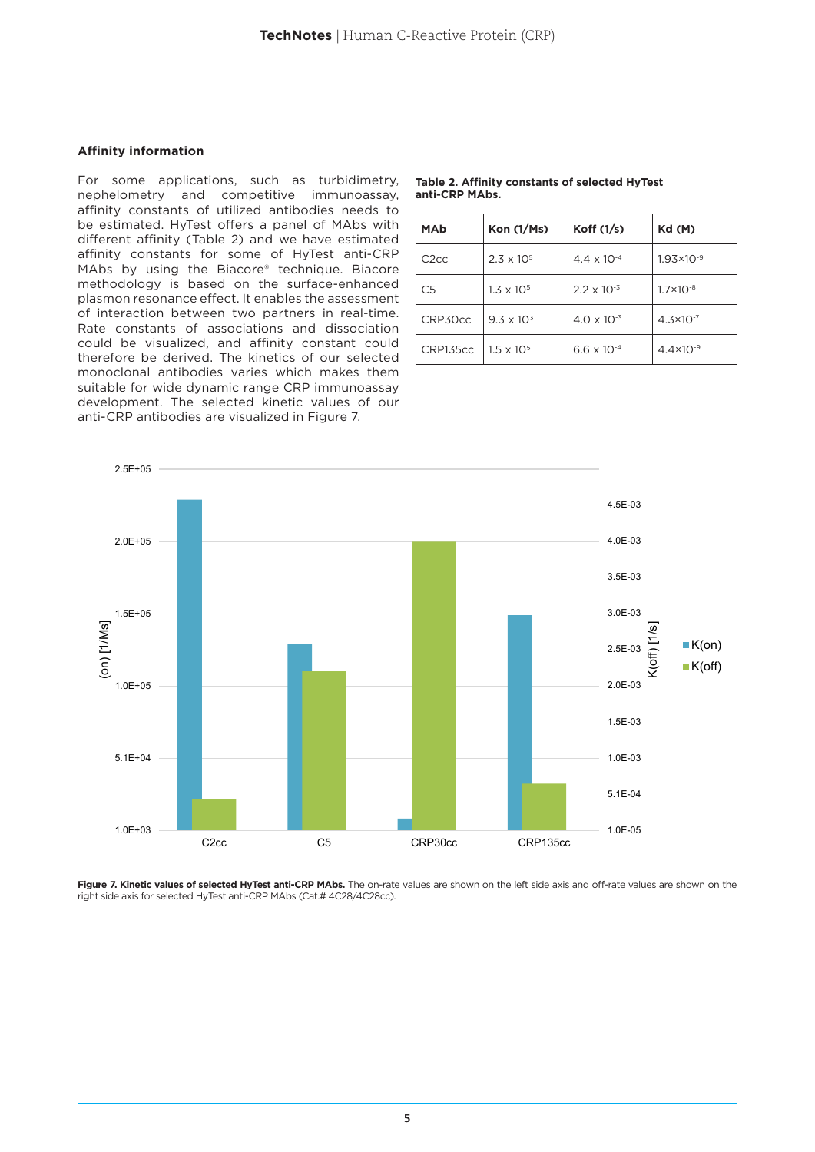## **Affinity information**

For some applications, such as turbidimetry, nephelometry and competitive immunoassay, affinity constants of utilized antibodies needs to be estimated. HyTest offers a panel of MAbs with different affinity (Table 2) and we have estimated affinity constants for some of HyTest anti-CRP MAbs by using the Biacore® technique. Biacore methodology is based on the surface-enhanced plasmon resonance effect. It enables the assessment of interaction between two partners in real-time. Rate constants of associations and dissociation could be visualized, and affinity constant could therefore be derived. The kinetics of our selected monoclonal antibodies varies which makes them suitable for wide dynamic range CRP immunoassay development. The selected kinetic values of our anti-CRP antibodies are visualized in Figure 7.

| <b>MAb</b>        | Kon $(1/Ms)$        | Koff $(1/s)$         | Kd (M)                |
|-------------------|---------------------|----------------------|-----------------------|
| C <sub>2</sub> cc | $2.3 \times 10^{5}$ | $4.4 \times 10^{-4}$ | $1.93 \times 10^{-9}$ |
| C <sub>5</sub>    | $1.3 \times 10^{5}$ | $2.2 \times 10^{-3}$ | $1.7 \times 10^{-8}$  |
| CRP30cc           | $9.3 \times 10^{3}$ | $4.0 \times 10^{-3}$ | $4.3 \times 10^{-7}$  |
| CRP135cc          | $1.5 \times 10^{5}$ | $6.6 \times 10^{-4}$ | $4.4 \times 10^{-9}$  |



Figure 7. Kinetic values of selected HyTest anti-CRP MAbs. The on-rate values are shown on the left side axis and off-rate values are shown on the right side axis for selected HyTest anti-CRP MAbs (Cat.# 4C28/4C28cc).

**Table 2. Affinity constants of selected HyTest anti-CRP MAbs.**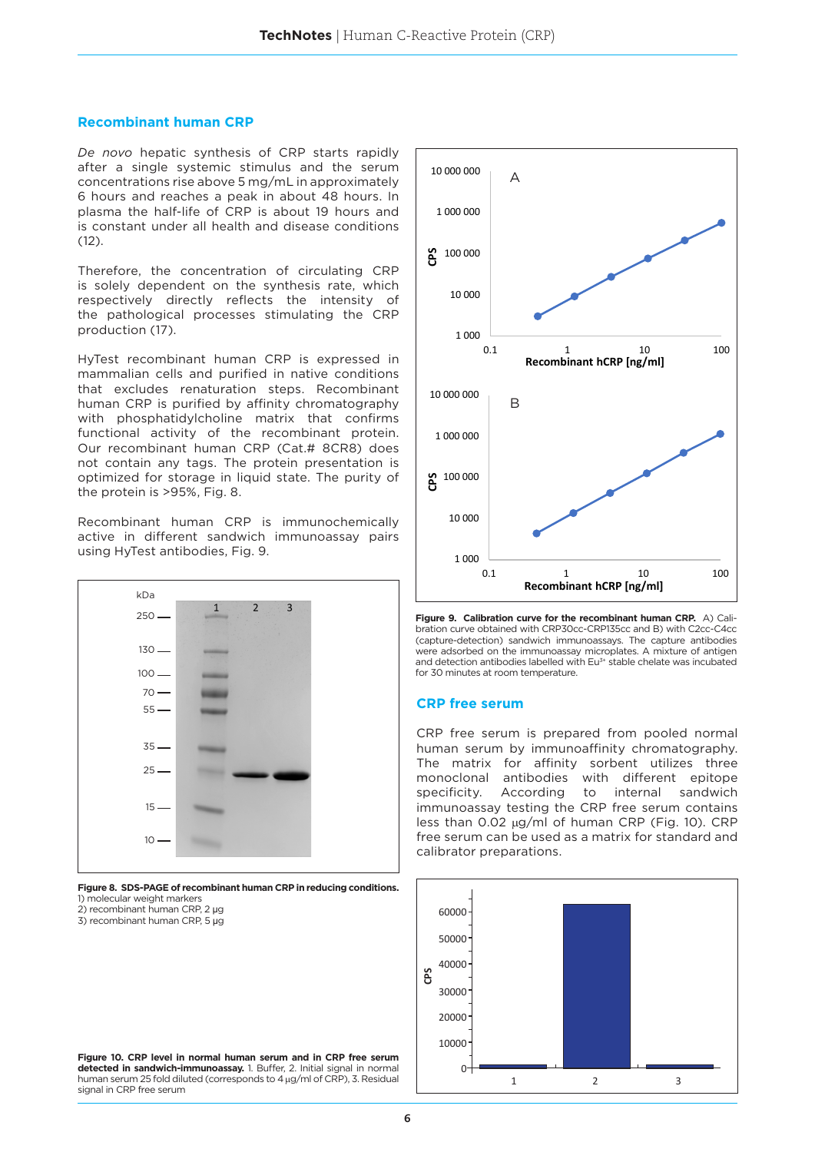#### **Recombinant human CRP**

*De novo* hepatic synthesis of CRP starts rapidly after a single systemic stimulus and the serum concentrations rise above 5 mg/mL in approximately 6 hours and reaches a peak in about 48 hours. In plasma the half-life of CRP is about 19 hours and is constant under all health and disease conditions  $(12)$ .

Therefore, the concentration of circulating CRP is solely dependent on the synthesis rate, which respectively directly reflects the intensity of the pathological processes stimulating the CRP production (17).

HyTest recombinant human CRP is expressed in mammalian cells and purified in native conditions that excludes renaturation steps. Recombinant human CRP is purified by affinity chromatography with phosphatidylcholine matrix that confirms functional activity of the recombinant protein. Our recombinant human CRP (Cat.# 8CR8) does not contain any tags. The protein presentation is optimized for storage in liquid state. The purity of the protein is >95%, Fig. 8.

Recombinant human CRP is immunochemically active in different sandwich immunoassay pairs using HyTest antibodies, Fig. 9.

| kDa     | $\overline{3}$<br>$\overline{2}$<br>$1^{\circ}$ |
|---------|-------------------------------------------------|
| $250 -$ |                                                 |
| $130 -$ |                                                 |
| $100 -$ |                                                 |
| $70 -$  |                                                 |
| $55-$   |                                                 |
| $35 -$  | <b>COMMERCIA</b>                                |
| $25 -$  |                                                 |
| $15 -$  | <b>Contractor</b>                               |
| $10 -$  |                                                 |

**Figure 8. SDS-PAGE of recombinant human CRP in reducing conditions.** 1) molecular weight markers

2) recombinant human CRP, 2 µg

3) recombinant human CRP, 5 µg



**Figure 9. Calibration curve for the recombinant human CRP.** A) Calibration curve obtained with CRP30cc-CRP135cc and B) with C2cc-C4cc (capture-detection) sandwich immunoassays. The capture antibodies were adsorbed on the immunoassay microplates. A mixture of antigen and detection antibodies labelled with Eu<sup>3+</sup> stable chelate was incubated for 30 minutes at room temperature.

## **CRP free serum**

CRP free serum is prepared from pooled normal human serum by immunoaffinity chromatography. The matrix for affinity sorbent utilizes three monoclonal antibodies with different epitope specificity. According to internal sandwich immunoassay testing the CRP free serum contains less than 0.02 µg/ml of human CRP (Fig. 10). CRP free serum can be used as a matrix for standard and calibrator preparations.



**Figure 10. CRP level in normal human serum and in CRP free serum detected in sandwich-immunoassay.** 1. Buffer, 2. Initial signal in normal human serum 25 fold diluted (corresponds to 4 μg/ml of CRP), 3. Residual signal in CRP free serum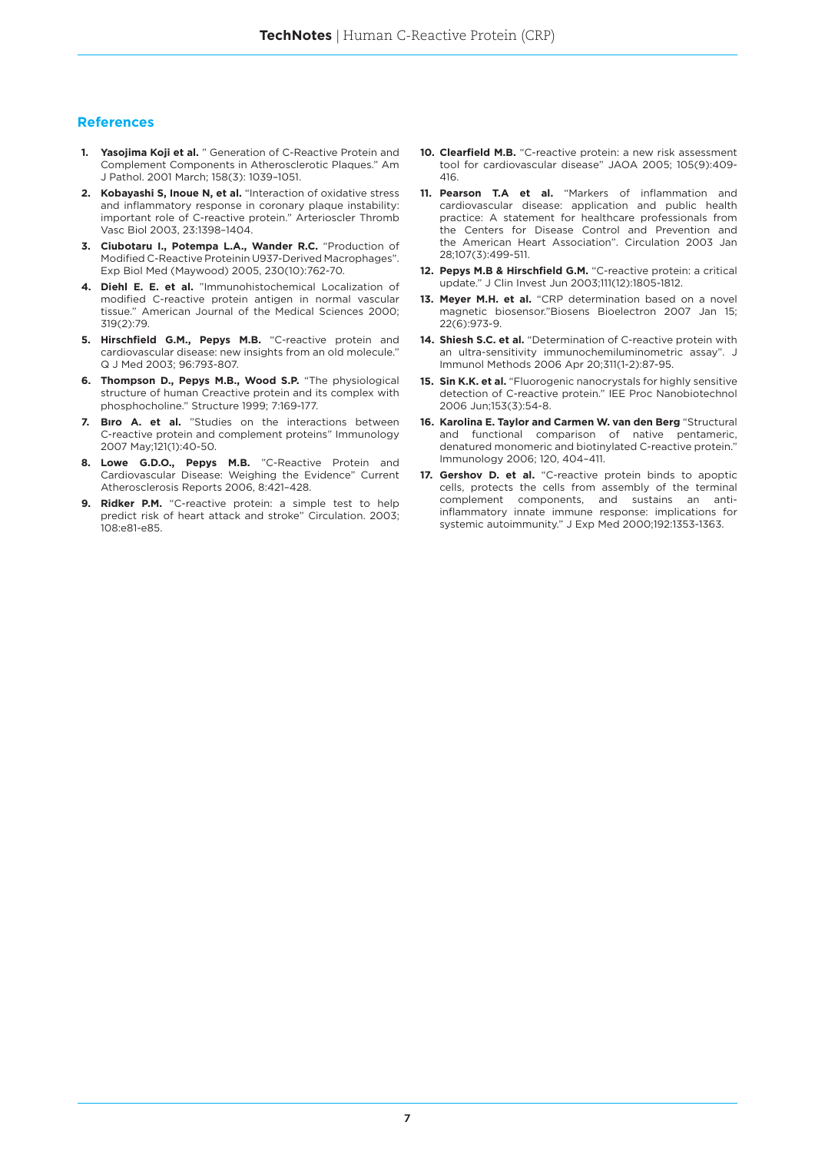## **References**

- **1. Yasojima Koji et al.** " Generation of C-Reactive Protein and Complement Components in Atherosclerotic Plaques." Am J Pathol. 2001 March; 158(3): 1039–1051.
- **2. Kobayashi S, Inoue N, et al.** "Interaction of oxidative stress and inflammatory response in coronary plaque instability: important role of C-reactive protein." Arterioscler Thromb Vasc Biol 2003, 23:1398–1404.
- **3. Ciubotaru I., Potempa L.A., Wander R.C.** "Production of Modified C-Reactive Proteinin U937-Derived Macrophages". Exp Biol Med (Maywood) 2005, 230(10):762-70.
- **4. Diehl E. E. et al.** "Immunohistochemical Localization of modified C-reactive protein antigen in normal vascular tissue." American Journal of the Medical Sciences 2000; 319(2):79.
- **5. Hirschfield G.M., Pepys M.B.** "C-reactive protein and cardiovascular disease: new insights from an old molecule." Q J Med 2003; 96:793-807.
- **6. Thompson D., Pepys M.B., Wood S.P.** "The physiological structure of human Creactive protein and its complex with phosphocholine." Structure 1999; 7:169-177.
- **7. Bıro A. et al.** "Studies on the interactions between C-reactive protein and complement proteins" Immunology 2007 May;121(1):40-50.
- **8. Lowe G.D.O., Pepys M.B.** "C-Reactive Protein and Cardiovascular Disease: Weighing the Evidence" Current Atherosclerosis Reports 2006, 8:421–428.
- **9. Ridker P.M.** "C-reactive protein: a simple test to help predict risk of heart attack and stroke" Circulation. 2003; 108:e81-e85.
- **10. Clearfield M.B.** "C-reactive protein: a new risk assessment tool for cardiovascular disease" JAOA 2005; 105(9):409- 416.
- **11. Pearson T.A et al.** "Markers of inflammation and cardiovascular disease: application and public health practice: A statement for healthcare professionals from the Centers for Disease Control and Prevention and the American Heart Association". Circulation 2003 Jan 28;107(3):499-511.
- **12. Pepys M.B & Hirschfield G.M.** "C-reactive protein: a critical update." J Clin Invest Jun 2003;111(12):1805-1812.
- 13. Meyer M.H. et al. "CRP determination based on a novel magnetic biosensor."Biosens Bioelectron 2007 Jan 15; 22(6):973-9.
- **14. Shiesh S.C. et al.** "Determination of C-reactive protein with an ultra-sensitivity immunochemiluminometric assay". J Immunol Methods 2006 Apr 20;311(1-2):87-95.
- **15. Sin K.K. et al.** "Fluorogenic nanocrystals for highly sensitive detection of C-reactive protein." IEE Proc Nanobiotechnol 2006 Jun;153(3):54-8.
- **16. Karolina E. Taylor and Carmen W. van den Berg** "Structural and functional comparison of native pentameric, denatured monomeric and biotinylated C-reactive protein." Immunology 2006; 120, 404–411.
- 17. Gershov D. et al. "C-reactive protein binds to apoptic cells, protects the cells from assembly of the terminal complement components, and sustains an antiinflammatory innate immune response: implications for systemic autoimmunity." J Exp Med 2000;192:1353-1363.